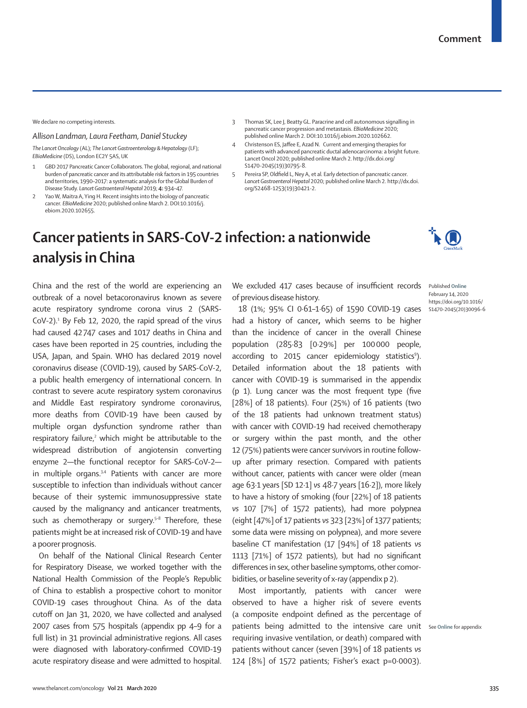We declare no competing interests.

## *Allison Landman, Laura Feetham, Daniel Stuckey*

*The Lancet Oncology* (AL); *The Lancet Gastroenterology & Hepatology* (LF); *EBioMedicine* (DS), London EC2Y 5AS, UK

- 1 GBD 2017 Pancreatic Cancer Collaborators. The global, regional, and national burden of pancreatic cancer and its attributable risk factors in 195 countries and territories, 1990–2017: a systematic analysis for the Global Burden of Disease Study. *Lancet Gastroenterol Hepatol* 2019; **4:** 934–47.
- Yao W, Maitra A, Ying H. Recent insights into the biology of pancreatic cancer. *EBioMedicine* 2020; published online March 2. DOI:10.1016/j. ebiom.2020.102655.
- 3 Thomas SK, Lee J, Beatty GL. Paracrine and cell autonomous signalling in pancreatic cancer progression and metastasis. *EBioMedicine* 2020; published online March 2. DOI:10.1016/j.ebiom.2020.102662.
- 4 Christenson ES, Jaffee E, Azad N. Current and emerging therapies for patients with advanced pancreatic ductal adenocarcinoma: a bright future. Lancet Oncol 2020; published online March 2. http://dx.doi.org/ S1470-2045(19)30795-8.
- 5 Pereira SP, Oldfield L, Ney A, et al*.* Early detection of pancreatic cancer. *Lancet Gastroenterol Hepatol* 2020; published online March 2. http://dx.doi. org/S2468-1253(19)30421-2.

## **Cancer patients in SARS-CoV-2 infection: a nationwide analysis in China**

February 14, 2020

https://doi.org/10.1016/ S1470-2045(20)30096-6

China and the rest of the world are experiencing an outbreak of a novel betacoronavirus known as severe acute respiratory syndrome corona virus 2 (SARS- $CoV-2$ ).<sup>1</sup> By Feb 12, 2020, the rapid spread of the virus had caused 42747 cases and 1017 deaths in China and cases have been reported in 25 countries, including the USA, Japan, and Spain. WHO has declared 2019 novel coronavirus disease (COVID-19), caused by SARS-CoV-2, a public health emergency of international concern. In contrast to severe acute respiratory system coronavirus and Middle East respiratory syndrome coronavirus, more deaths from COVID-19 have been caused by multiple organ dysfunction syndrome rather than  $respiratory$  failure, $2$  which might be attributable to the widespread distribution of angiotensin converting enzyme 2—the functional receptor for SARS-CoV-2 in multiple organs. $3,4$  Patients with cancer are more susceptible to infection than individuals without cancer because of their systemic immunosuppressive state caused by the malignancy and anticancer treatments, such as chemotherapy or surgery. $5-8$  Therefore, these patients might be at increased risk of COVID-19 and have a poorer prognosis.

On behalf of the National Clinical Research Center for Respiratory Disease, we worked together with the National Health Commission of the People's Republic of China to establish a prospective cohort to monitor COVID-19 cases throughout China. As of the data cutoff on Jan 31, 2020, we have collected and analysed 2007 cases from 575 hospitals (appendix pp 4–9 for a full list) in 31 provincial administrative regions. All cases were diagnosed with laboratory-confirmed COVID-19 acute respiratory disease and were admitted to hospital.

We excluded 417 cases because of insufficient records Published Online of previous disease history.

18 (1%; 95% CI 0·61–1·65) of 1590 COVID-19 cases had a history of cancer**,** which seems to be higher than the incidence of cancer in the overall Chinese population (285·83 [0·29%] per 100000 people, according to 2015 cancer epidemiology statistics<sup>9</sup>). Detailed information about the 18 patients with cancer with COVID-19 is summarised in the appendix (p 1). Lung cancer was the most frequent type (five [28%] of 18 patients). Four (25%) of 16 patients (two of the 18 patients had unknown treatment status) with cancer with COVID-19 had received chemotherapy or surgery within the past month, and the other 12 (75%) patients were cancer survivors in routine followup after primary resection. Compared with patients without cancer, patients with cancer were older (mean age 63·1 years [SD 12·1] *vs* 48·7 years [16·2]), more likely to have a history of smoking (four [22%] of 18 patients *vs* 107 [7%] of 1572 patients), had more polypnea (eight [47%] of 17 patients *vs* 323 [23%] of 1377 patients; some data were missing on polypnea), and more severe baseline CT manifestation (17 [94%] of 18 patients *vs*  1113 [71%] of 1572 patients), but had no significant differences in sex, other baseline symptoms, other comorbidities, or baseline severity of x-ray (appendix p 2).

Most importantly, patients with cancer were observed to have a higher risk of severe events (a composite endpoint defined as the percentage of patients being admitted to the intensive care unit See Online for appendix requiring invasive ventilation, or death) compared with patients without cancer (seven [39%] of 18 patients *vs* 124 [8%] of 1572 patients; Fisher's exact p=0·0003).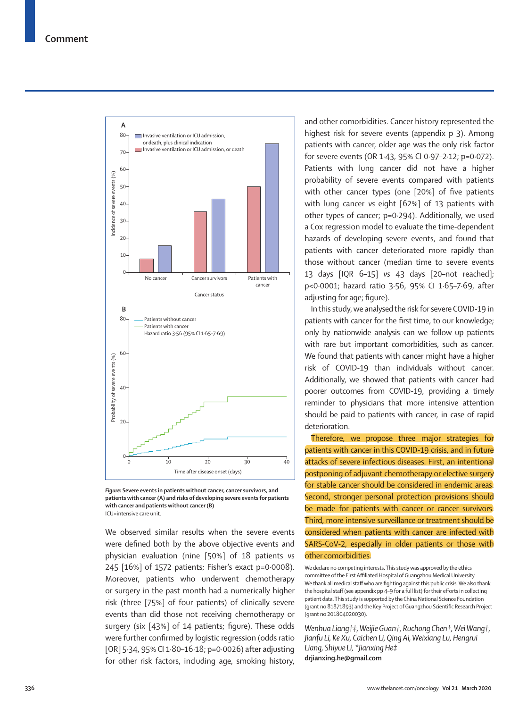



We observed similar results when the severe events were defined both by the above objective events and physician evaluation (nine [50%] of 18 patients *vs* 245 [16%] of 1572 patients; Fisher's exact p=0·0008). Moreover, patients who underwent chemotherapy or surgery in the past month had a numerically higher risk (three [75%] of four patients) of clinically severe events than did those not receiving chemotherapy or surgery (six [43%] of 14 patients; figure). These odds were further confirmed by logistic regression (odds ratio [OR] 5·34, 95% CI 1·80–16·18; p=0·0026) after adjusting for other risk factors, including age, smoking history,

and other comorbidities. Cancer history represented the highest risk for severe events (appendix p 3). Among patients with cancer, older age was the only risk factor for severe events (OR 1·43, 95% CI 0·97–2·12; p=0·072). Patients with lung cancer did not have a higher probability of severe events compared with patients with other cancer types (one [20%] of five patients with lung cancer *vs* eight [62%] of 13 patients with other types of cancer; p=0·294). Additionally, we used a Cox regression model to evaluate the time-dependent hazards of developing severe events, and found that patients with cancer deteriorated more rapidly than those without cancer (median time to severe events 13 days [IQR 6–15] *vs* 43 days [20–not reached]; p<0·0001; hazard ratio 3·56, 95% CI 1·65–7·69, after adjusting for age; figure).

In this study, we analysed the risk for severe COVID-19 in patients with cancer for the first time, to our knowledge; only by nationwide analysis can we follow up patients with rare but important comorbidities, such as cancer. We found that patients with cancer might have a higher risk of COVID-19 than individuals without cancer. Additionally, we showed that patients with cancer had poorer outcomes from COVID-19, providing a timely reminder to physicians that more intensive attention should be paid to patients with cancer, in case of rapid deterioration.

Therefore, we propose three major strategies for patients with cancer in this COVID-19 crisis, and in future attacks of severe infectious diseases. First, an intentional postponing of adjuvant chemotherapy or elective surgery for stable cancer should be considered in endemic areas. Second, stronger personal protection provisions should be made for patients with cancer or cancer survivors. Third, more intensive surveillance or treatment should be considered when patients with cancer are infected with SARS-CoV-2, especially in older patients or those with other comorbidities.

We declare no competing interests. This study was approved by the ethics committee of the First Affiliated Hospital of Guangzhou Medical University. We thank all medical staff who are fighting against this public crisis. We also thank the hospital staff (see appendix pp 4–9 for a full list) for their efforts in collecting patient data. This study is supported by the China National Science Foundation (grant no 81871893) and the Key Project of Guangzhou Scientific Research Project (grant no 201804020030).

*Wenhua Liang†‡, Weijie Guan†, Ruchong Chen†, Wei Wang†, Jianfu Li, Ke Xu, Caichen Li, Qing Ai, Weixiang Lu, Hengrui Liang, Shiyue Li, \*Jianxing He‡* **drjianxing.he@gmail.com**